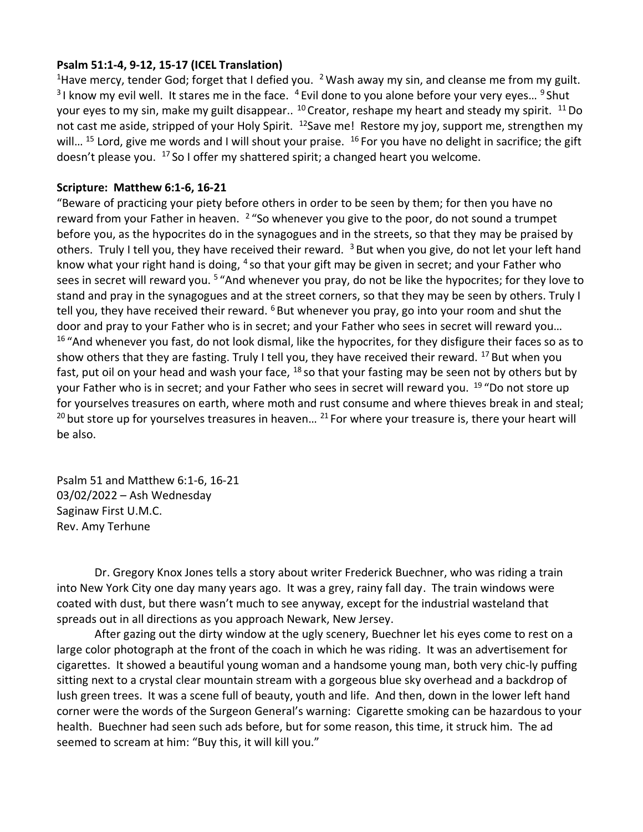## **Psalm 51:1-4, 9-12, 15-17 (ICEL Translation)**

<sup>1</sup> Have mercy, tender God; forget that I defied you. <sup>2</sup> Wash away my sin, and cleanse me from my guilt.  $3$ I know my evil well. It stares me in the face.  $4$  Evil done to you alone before your very eyes...  $9$  Shut your eyes to my sin, make my guilt disappear..<sup>10</sup> Creator, reshape my heart and steady my spirit.<sup>11</sup> Do not cast me aside, stripped of your Holy Spirit. <sup>12</sup>Save me! Restore my joy, support me, strengthen my will... <sup>15</sup> Lord, give me words and I will shout your praise. <sup>16</sup> For you have no delight in sacrifice; the gift doesn't please you.  $17$  So I offer my shattered spirit; a changed heart you welcome.

## **Scripture: Matthew 6:1-6, 16-21**

"Beware of practicing your piety before others in order to be seen by them; for then you have no reward from your Father in heaven. <sup>2</sup> "So whenever you give to the poor, do not sound a trumpet before you, as the hypocrites do in the synagogues and in the streets, so that they may be praised by others. Truly I tell you, they have received their reward. <sup>3</sup> But when you give, do not let your left hand know what your right hand is doing, <sup>4</sup> so that your gift may be given in secret; and your Father who sees in secret will reward you. <sup>5</sup> "And whenever you pray, do not be like the hypocrites; for they love to stand and pray in the synagogues and at the street corners, so that they may be seen by others. Truly I tell you, they have received their reward. <sup>6</sup> But whenever you pray, go into your room and shut the door and pray to your Father who is in secret; and your Father who sees in secret will reward you… <sup>16</sup> "And whenever you fast, do not look dismal, like the hypocrites, for they disfigure their faces so as to show others that they are fasting. Truly I tell you, they have received their reward. <sup>17</sup> But when you fast, put oil on your head and wash your face, <sup>18</sup> so that your fasting may be seen not by others but by your Father who is in secret; and your Father who sees in secret will reward you. <sup>19 "</sup>Do not store up for yourselves treasures on earth, where moth and rust consume and where thieves break in and steal;  $20$  but store up for yourselves treasures in heaven...  $21$  For where your treasure is, there your heart will be also.

Psalm 51 and Matthew 6:1-6, 16-21 03/02/2022 – Ash Wednesday Saginaw First U.M.C. Rev. Amy Terhune

Dr. Gregory Knox Jones tells a story about writer Frederick Buechner, who was riding a train into New York City one day many years ago. It was a grey, rainy fall day. The train windows were coated with dust, but there wasn't much to see anyway, except for the industrial wasteland that spreads out in all directions as you approach Newark, New Jersey.

After gazing out the dirty window at the ugly scenery, Buechner let his eyes come to rest on a large color photograph at the front of the coach in which he was riding. It was an advertisement for cigarettes. It showed a beautiful young woman and a handsome young man, both very chic-ly puffing sitting next to a crystal clear mountain stream with a gorgeous blue sky overhead and a backdrop of lush green trees. It was a scene full of beauty, youth and life. And then, down in the lower left hand corner were the words of the Surgeon General's warning: Cigarette smoking can be hazardous to your health. Buechner had seen such ads before, but for some reason, this time, it struck him. The ad seemed to scream at him: "Buy this, it will kill you."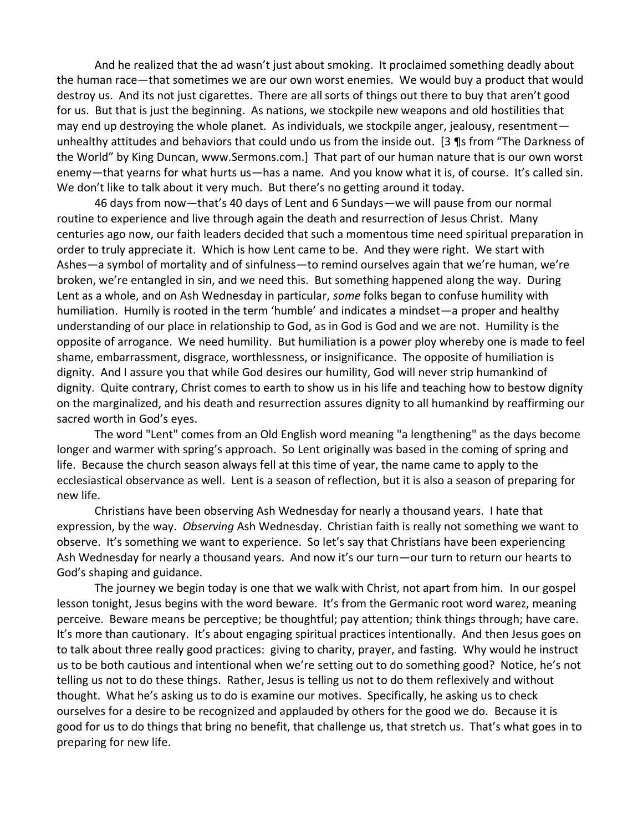And he realized that the ad wasn't just about smoking. It proclaimed something deadly about the human race—that sometimes we are our own worst enemies. We would buy a product that would destroy us. And its not just cigarettes. There are all sorts of things out there to buy that aren't good for us. But that is just the beginning. As nations, we stockpile new weapons and old hostilities that may end up destroying the whole planet. As individuals, we stockpile anger, jealousy, resentment unhealthy attitudes and behaviors that could undo us from the inside out. [3 ¶s from "The Darkness of the World" by King Duncan, www.Sermons.com.] That part of our human nature that is our own worst enemy—that yearns for what hurts us—has a name. And you know what it is, of course. It's called sin. We don't like to talk about it very much. But there's no getting around it today.

46 days from now—that's 40 days of Lent and 6 Sundays—we will pause from our normal routine to experience and live through again the death and resurrection of Jesus Christ. Many centuries ago now, our faith leaders decided that such a momentous time need spiritual preparation in order to truly appreciate it. Which is how Lent came to be. And they were right. We start with Ashes—a symbol of mortality and of sinfulness—to remind ourselves again that we're human, we're broken, we're entangled in sin, and we need this. But something happened along the way. During Lent as a whole, and on Ash Wednesday in particular, *some* folks began to confuse humility with humiliation. Humily is rooted in the term 'humble' and indicates a mindset—a proper and healthy understanding of our place in relationship to God, as in God is God and we are not. Humility is the opposite of arrogance. We need humility. But humiliation is a power ploy whereby one is made to feel shame, embarrassment, disgrace, worthlessness, or insignificance. The opposite of humiliation is dignity. And I assure you that while God desires our humility, God will never strip humankind of dignity. Quite contrary, Christ comes to earth to show us in his life and teaching how to bestow dignity on the marginalized, and his death and resurrection assures dignity to all humankind by reaffirming our sacred worth in God's eyes.

The word "Lent" comes from an Old English word meaning "a lengthening" as the days become longer and warmer with spring's approach. So Lent originally was based in the coming of spring and life. Because the church season always fell at this time of year, the name came to apply to the ecclesiastical observance as well. Lent is a season of reflection, but it is also a season of preparing for new life.

Christians have been observing Ash Wednesday for nearly a thousand years. I hate that expression, by the way. *Observing* Ash Wednesday. Christian faith is really not something we want to observe. It's something we want to experience. So let's say that Christians have been experiencing Ash Wednesday for nearly a thousand years. And now it's our turn—our turn to return our hearts to God's shaping and guidance.

The journey we begin today is one that we walk with Christ, not apart from him. In our gospel lesson tonight, Jesus begins with the word beware. It's from the Germanic root word warez, meaning perceive. Beware means be perceptive; be thoughtful; pay attention; think things through; have care. It's more than cautionary. It's about engaging spiritual practices intentionally. And then Jesus goes on to talk about three really good practices: giving to charity, prayer, and fasting. Why would he instruct us to be both cautious and intentional when we're setting out to do something good? Notice, he's not telling us not to do these things. Rather, Jesus is telling us not to do them reflexively and without thought. What he's asking us to do is examine our motives. Specifically, he asking us to check ourselves for a desire to be recognized and applauded by others for the good we do. Because it is good for us to do things that bring no benefit, that challenge us, that stretch us. That's what goes in to preparing for new life.